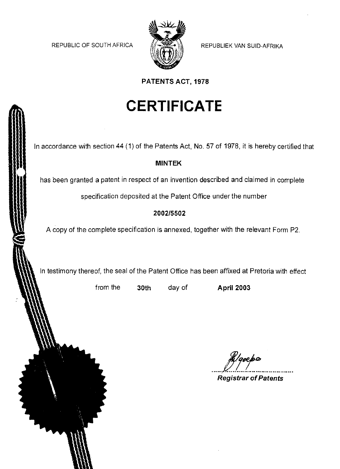REPUBLIC OF SOUTH AFRICA  $\|\cdot\|$  REPUBLIEK VAN SUID-AFRIKA



**PATENTS ACT, 1978**

# **CERTIFICATE**

In accordance with section 44 (1) of the Patents Act, No. 57 of 1978, it is hereby certified that

#### **MINTEK**

has been granted a patent in respect of an invention described and claimed in complete

specification deposited at the Patent Office under the number

### **2002/5502**

A copy of the complete specification is annexed, together with the relevant Form P2.

In testimony thereof, the seal of the Patent Office has been affixed at Pretoria with effect

from the **30th** day of

**April 2003**

**Registrar ofPatents** R<sub>/queba</sub><br>Peristar of Patente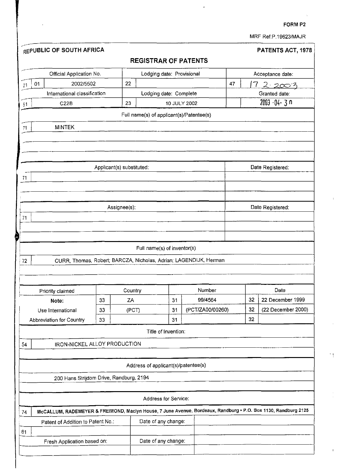ï

 $\cdot$ 

 $^{\circ}$  (

MRF Ref:P.19623/MAJR

|          | REPUBLIC OF SOUTH AFRICA                                                                                       |                           |              |                                          |    |                  |    |          | PATENTS ACT, 1978  |
|----------|----------------------------------------------------------------------------------------------------------------|---------------------------|--------------|------------------------------------------|----|------------------|----|----------|--------------------|
|          |                                                                                                                |                           |              | <b>REGISTRAR OF PATENTS</b>              |    |                  |    |          |                    |
|          | Official Application No.                                                                                       |                           |              | Lodging date: Provisional                |    |                  |    |          | Acceptance date:   |
| 01<br>21 | 2002/5502                                                                                                      |                           | 22           |                                          |    |                  | 47 | 7        | 22003              |
|          | International classification                                                                                   |                           |              | Lodging date: Complete                   |    |                  |    |          | Granted date:      |
| 51       | C <sub>2</sub> 2B                                                                                              |                           | 23           |                                          |    | 10 JULY 2002     |    |          | 2003-04-3 n        |
|          |                                                                                                                |                           |              | Full name(s) of applicant(s)/Patentee(s) |    |                  |    |          |                    |
| 71       | <b>MINTEK</b>                                                                                                  |                           |              |                                          |    |                  |    |          |                    |
|          |                                                                                                                |                           |              |                                          |    |                  |    |          |                    |
|          |                                                                                                                |                           |              |                                          |    |                  |    |          |                    |
|          |                                                                                                                | Applicant(s) substituted: |              |                                          |    |                  |    |          | Date Registered:   |
| 71       |                                                                                                                |                           |              |                                          |    |                  |    |          |                    |
|          |                                                                                                                |                           |              |                                          |    |                  |    |          |                    |
|          |                                                                                                                |                           |              |                                          |    |                  |    |          |                    |
|          |                                                                                                                |                           | Assignee(s): |                                          |    |                  |    |          | Date Registered.   |
|          |                                                                                                                |                           |              |                                          |    |                  |    |          |                    |
|          |                                                                                                                |                           |              |                                          |    |                  |    |          |                    |
|          |                                                                                                                |                           |              |                                          |    |                  |    |          |                    |
|          |                                                                                                                |                           |              |                                          |    |                  |    |          |                    |
| 71       |                                                                                                                |                           |              | Full name(s) of inventor(s)              |    |                  |    |          |                    |
| 72       | CURR, Thomas, Robert; BARCZA, Nicholas, Adrian; LAGENDIJK, Herman                                              |                           |              |                                          |    |                  |    |          |                    |
|          |                                                                                                                |                           |              |                                          |    |                  |    |          |                    |
|          |                                                                                                                |                           |              |                                          |    |                  |    |          |                    |
|          | Priority claimed                                                                                               |                           | Country      |                                          |    | Number           |    |          | Date               |
|          | Note:                                                                                                          | 33                        | ΖA           |                                          | 31 | 99/4564          |    | 32       | 22 December 1999   |
|          | Use International                                                                                              | 33                        | (PCT)        |                                          | 31 | (PCT/ZA00/00260) |    | 32<br>32 | (22 December 2000) |
|          | Abbreviation for Country                                                                                       | 33                        |              |                                          | 31 |                  |    |          |                    |
|          |                                                                                                                |                           |              | Title of Invention:                      |    |                  |    |          |                    |
|          | <b>IRON-NICKEL ALLOY PRODUCTION</b>                                                                            |                           |              |                                          |    |                  |    |          |                    |
|          |                                                                                                                |                           |              | Address of applicant(s)/patentee(s)      |    |                  |    |          |                    |
|          |                                                                                                                |                           |              |                                          |    |                  |    |          |                    |
| 54       | 200 Hans Strijdom Drive, Randburg, 2194                                                                        |                           |              |                                          |    |                  |    |          |                    |
|          |                                                                                                                |                           |              | Address for Service:                     |    |                  |    |          |                    |
|          | McCALLUM, RADEMEYER & FREIMOND, Maciyn House, 7 June Avenue, Bordeaux, Randburg · P.O. Box 1130, Randburg 2125 |                           |              |                                          |    |                  |    |          |                    |
|          | Patent of Addition to Patent No.:                                                                              |                           |              | Date of any change:                      |    |                  |    |          |                    |
| 74<br>61 |                                                                                                                |                           |              |                                          |    |                  |    |          |                    |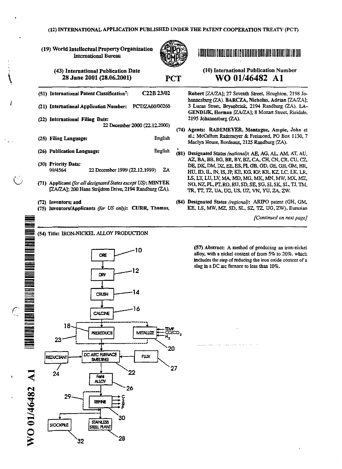(19) World Intellectual PropertyOrganization Intemational Bureau



PCT

# I III IT LICTIN I A GRAFITATI AIT LA IN LATILA TATI LICIL LATIL RA TERMI LA HAT TATI

#### (43) Intemational Publication Date 28 June 2001 (28.06.2001)

- (51) International Patent Classification': *C22B23/02*
- (21) International Application Number: PCT/ZA00/00260
- (22) International Filing Date: 22 December 2000 (22.12.2000)
- (25) Filing Language: English
- (26) Publication Language: English •
- (30) Priority Data: 99/4564 22 December 1999 (22.12.1999) ZA
- (71) Applicant *(for all designated States except US)*: MINTEK [ZA/ZA]; 200 Hans Strijdom Drive, 2194 Randburg (ZA).
- (72) Inventors; and

 $\mathbf{\mathcal{L}}$ 

..

 $\boldsymbol{\Omega}$ 

=

**E** = ...... -=

- = == = -<br>-<br>-<br>-== -<br>-<br>-

-= == = --=

=!!!!!!!!

--

=<br>=<br>= -=--=

 $\bullet$ 

 $\subset$ 0 (75) Inventors/Applicants *(for US only):* CIJRR, Thomas,

(10) Intemational Publication Number WO 01/46482 A1

Robert [ZA/ZA]; 27 Seventh Street, Houghton, 2198 Johannesburg (ZA). BARCZA, Nicholas, Adrian [ZA/ZA]; 3 Lucas Street, Bryanbriuk, 2194 Rendburg (ZA). LA-GENDIJK, Herman [ZA/ZA]; 8 Mozart Street, Risidale, 2195 Johannesburg (ZA).

- (74) Agents: RADEMEYER. Montague, Ampie, John et al.; McCallum Rademeyer & Freimond, PO Box 1130. 7 Maclyn House, Bordeaux, 2125 Randburg (ZA).
- (81) Designated States *(national):* AB. AG. AL.AM. AT,AU. AZ, BA. BB, BG. BR. BY,B20CA, CH, CN. CR, *CV,* cz, DE, DK, DM, DZ, EE, ES, FI, GB, GD, GE, GH, GM, HR, RV. ID. IL, IN,IS.JP. KE, KG, KP, KR, KZ.LC, LK, LR, LS. LT.LU. LV. MA, MD. MG. MK, MN, MW. MX, Mz, NO. NZ,PL. PT.so,RU. SD. SE. SG, SI, SK, SI., TJ. TM. TR, TT, TZ, UA, UG, US, UZ, VN, YU, ZA, ZW.
- (84) Designated States *(regional):* ARIPO patent (GH, GM, KE, LS, MW, MZ, SD, SL, SZ, TZ, UG, ZW), Eurasian

*[Continued* on *next page]*

----------------------------- (54) Title: maN-NICKEL ALLOY PRODUCTION



(57) Abstract: A method of producing an iron-nickel alloy, with a nickel content of from  $5\%$  to  $20\%$ , which includes the step of reducing the iron oxide content of a slag in a DC arc furnace to less than 10%.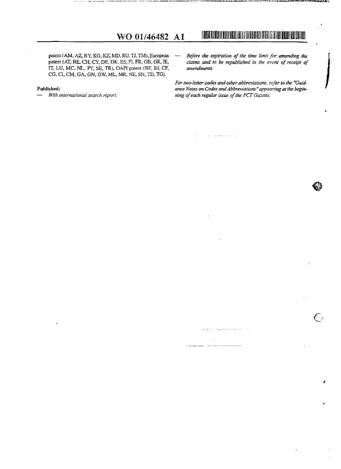#### patent (AM, AZ, BY, KG, KZ, MD, RU, TJ, TM), European patent (AT, BE, CH, CY, DE, DK, ES, FI. FR, GB, GR, IE, IT, LU, MC, NL, PT, SE, TR), OAPI patent (BF, B1, CF, CG, CI, CM, GA, GN, GW, ML, MR, NE, SN, TD, TG).

#### **Published:**

*- With international search report.*

*Before* the *expiration* of the *time limit* for **amending** the  $\frac{1}{2}$ *claims and to be republished in the event of receipt of amendments.*

I **The Little in 11 in 11 11 11** in 11 in 11 in 11 in 11 in 11 in 12 in 13 in 14 in 15 in 16 in 17 in

المروان وأباد والمترات والمستحدث

I

 $\epsilon$ 

*Fortwo-letter codes andother abbreviations, refer to the "Guidance Notes on Codes andAbbreviations"appearing at the***begin-** *ning of each regular issue of the PCT Gazette.* 

المتحدث والمتعطف والمتحدث والمتحدث

الأرباء

i. للمستحدث

الداريات والمستقلة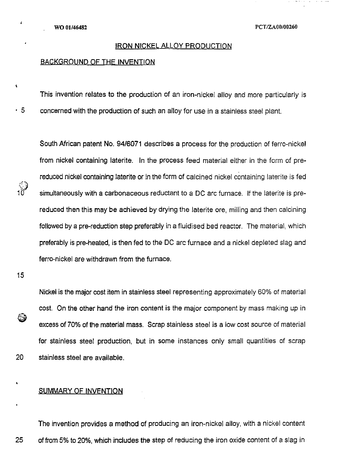#### IRON NICKEL ALLOY PRODUCTION

#### BACKGROUND OF THE INVENTION

This invention relates to the production of an iron-nickel alloy and more particularly is

 $\cdot$  5 concerned with the production of such an alloy for use in a stainless steel plant.

South African patent No. 94/6071 describes a process for the production of ferro-nickel from nickel containing laterite. In the process feed material either in the form of prereduced nickel containing laterite or in the form of calcined nickel containing laterite is fed simultaneously with a carbonaceous reductant to a DC arc furnace. If the laterite is prereduced then this may be achieved by drying the laterite ore, milling and then calcining followed by a pre-reduction step preferably in a fluidised bed reactor. The material, which preferably is pre-heated, is then fed to the DC arc furnace and a nickel depleted slag and ferra-nickel are withdrawn from the furnace.

15

6

 $\pmb{\ast}$ 

 $\langle \hat{\cdot} \rangle$ 'J

,

 $\mathbf{r}$ 

Nickel is the major cost item in stainless steel representing approximately 60% of material cost. On the other hand the iron content is the major component by mass making up in excess of 70% of the material mass. Scrap stainless steel is a low cost source of material for stainless steel production, but in some instances only small quantities of scrap 20 stainless steel are available.

#### SUMMARY OF INVENTION

The invention provides a method of producing an iron-nickel alloy, with a nickel content 25 of from 5% to 20%, which includes the step of reducing the iron oxide content of a slag in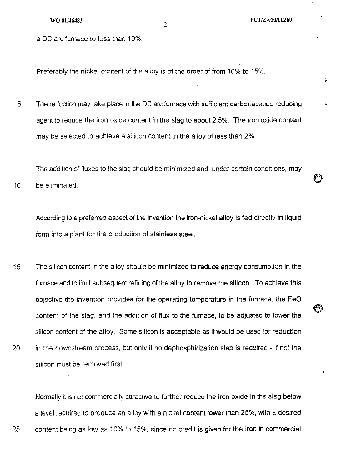¥

a DC arc furnace to less than 10%.

Preferably the nickel content of the alloy is of the order of from 10% to 15%.

2

5 The reduction may take place in the DC arc furnace with sufficient carbonaceous reducing agent to reduce the iron oxide content in the slag to about 2,5%. The iron oxide content may be selected to achieve a silicon content in the alloy of less than 2%.

10 The addition of fluxes to the slag should be minimized and, under certain conditions, may be eliminated.

According to a preferred aspect of the invention the iron-nickel alloy is fed directly in liquid form into a plant for the production of stainless steel.

15 20 The silicon content in the alloy should be minimized to reduce energy consumption in the furnace and to limit subsequent refining of the alloy to remove the silicon. To achieve this objective the invention provides for the operating temperature in the furnace, the FeD content of the slag, and the addition of flux to the furnace, to be adjusted to lower the silicon content of the alloy. Some silicon is acceptable as it would be used for reduction in the downstream process, but only if no dephosphirization step is required - if not the silicon must be removed first.

Normally it is not commercially attractive to further reduce the iron oxide in the slag below a level required to produce an alloy with a nickel content lower than 25%, with a desired 25 content being as low as 10% to 15%, since no credit is given for the iron in commercial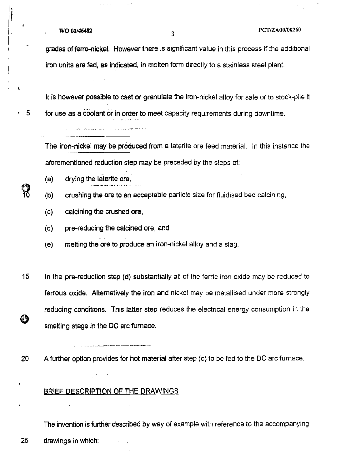# WO *01/46482* <sup>3</sup> PCTIZAOO/00260

 $\sim 10^{-1}$ 

 $\sim 1.4\,$  and  $\sim 1.4\,$ 

ومقاربات والأعط

 $\blacklozenge$ 

**ျာ** 

grades of ferra-nickel. However there is significant value in this process if the additional iron units are fed, as indicated, in molten form directly to a stainless steel plant.

It is however possible to cast or granulate the iron-nickel alloy for sale or to stock-pile it

• 5 for use as a coolant or in order to meet capacity requirements during downtime.

The iron-nickel may be produced from a laterite ore feed material. In this instance the aforementioned reduction step may be preceded by the steps of:

- (a) drying the laterite ore,
- (b) crushing the ore to an acceptable particle size for fluidised bed calcining,
- (c) calcining the crushed ore,
- (d) pre-reducing the calcined ore, and

able to compare the contraction and the contract of the

- (e) melting the ore to produce an iron-nickel alloy and a slag.
- 15 In the pre-reduction step (d) substantially all of the ferric iron oxide may be reduced to ferrous oxide. Alternatively the iron and nickel may be metallised under more strongly reducing conditions. This latter step reduces the electrical energy consumption in the ❹ smelting stage in the DC arc furnace.

20 A further option provides for hot material after step (c) to be fed to the DC arc furnace.

### BRIEF DESCRIPTION OF THE pRAWINGS

 $\mathcal{D}_{\mathbf{a}}(\tau)$  .

The invention is further described by way of example with reference to the accompanying 25 draWings in which: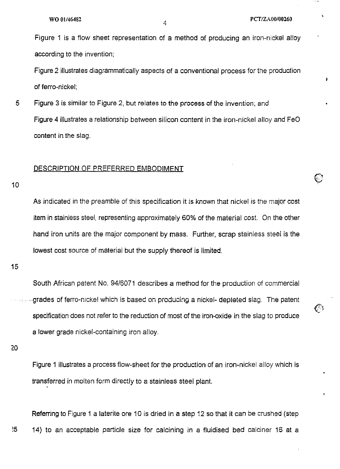Ŵ.

়

Figure 1 is a flow sheet representation of a method of producing an iron-nickel alloy according to the invention;

Figure 2 illustrates diagrammatically aspects of a conventional process for the production of ferro-nickel;

5 Figure 3 is similar to Figure 2, but relates to the process of the invention; and Figure 4 illustrates a relationship between silicon content in the iron-nickel alloy and FeO content in the slag.

#### DESCRIPTION OF PREFERRED EMBODIMENT

10

As indicated in the preamble of this specification it is known that nickel is the major cost item in stainless steel, representing approximately 60% of the material cost. On the other hand iron units are the major component by mass. Further, scrap stainless steel is the lowest cost source of material but the supply thereof is limited.

15

South African patent No. 94/6071 describes a method for the production of commercial . grades of ferro-nickel which is based on producing a nickel- depleted slag. The patent specification does not refer to the reduction of most of the iron-oxide in the slag to produce a lower grade nickel-containing iron alloy.

20

Figure 1 illustrates a process flow-sheet for the production of an iron-nickel alloy which is transferred in molten form directly to a stainless steel plant.

Referring to Figure 1 a laterite ore 10 is dried in a step 12 so that it can be crushed (step ~5 14) to an acceptable particle size for calcining in a fluidised bed calciner 16 at a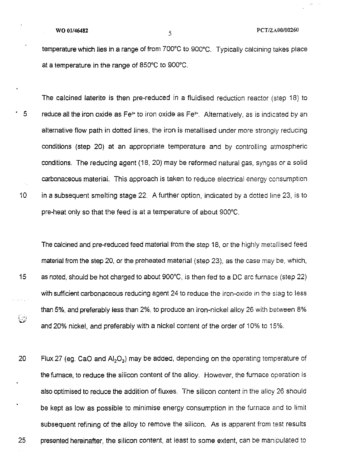$\frac{1}{2}$ 

**WO** 01/46482 **S PCT/ZAO0/00260** 

temperature which lies in a range of from 700°C to 900°C. Typically calcining takes place at a temperature in the range of 850°C to 900°C.

The calcined laterite is then pre-reduced in a fluidised reduction reactor (step 18) to  $-5$  reduce all the iron oxide as Fe<sup>3+</sup> to iron oxide as Fe<sup>2+</sup>. Alternatively, as is indicated by an alternative flow path in dotted lines, the iron is metallised under more strongly reducing conditions (step 20) at an appropriate temperature and by controlling atmospheric conditions. The reducing agent (18,20) may be reformed natural gas, syngas or a solid carbonaceous material. This approach is taken to reduce electrical energy consumption 10 in a subsequent smelting stage 22. A further option, indicated by a dotted line 23, is to pre-heat only so that the feed is at a temperature of about 900°C.

The calcined and pre-reduced feed material from the step 18, or the highly metaliised feed material from the step 20, or the preheated material (step 23), as the case may be, which, 15 as noted, should be hot charged to about 900°C, is then fed to a DC arc furnace (step 22) with sufficient carbonaceous reducing agent 24 to reduce the iron-oxide in the slag to less than5%, and preferably less than 2%, to produce an iron-nickel alloy 26 with between 8% and 20% nickel, and preferably with a nickel content of the order of 10% to 15%.

20 Flux 27 (eg. CaO and  $AI_2O_3$ ) may be added, depending on the operating temperature of the furnace, to reduce the silicon content of the alloy. However, the furnace operation is also optimised to reduce the addition of fluxes. The silicon content in the alloy 26 should be kept as low as possible to minimise energy consumption in the furnace and to limit subsequent refining of the alloy to remove the silicon. As is apparent from test results 25 presented hereinafter, the silicon content, at least to some extent, can be manipulated to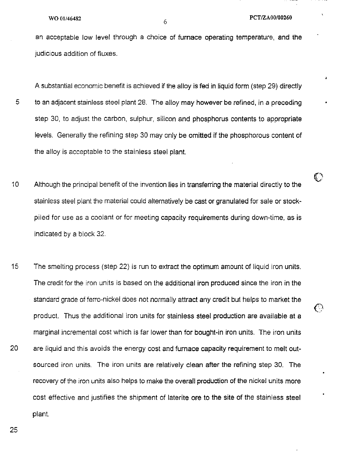$\mathbb{C}^3$ 

€

an acceptable low level through a choice of fumace operating temperature, and the judicious addition of fluxes.

A substantial economic benefit is achieved if the alloy is fed in liquid form (step 29) directly 5 to an adjacent stainless steel plant 28. The alloy may however be refined, in a preceding step 30, to adjust the carbon, sulphur, silicon and phosphorus contents to appropriate levels. Generally the refining step 30 may only be omitted if the phosphorous content of the alloy is acceptable to the stainless steel plant.

- 10 Although the principal benefit of the invention lies in transferring the material directly to the stainless steel plant the material could alternatively be cast or granulated for sale or stockpiled for use as a coolant or for meeting capacity requirements during down-time, as is indicated by a block 32
- 15 20 The smelting process (step 22) is run to extract the optimum amount of liquid iron units. The credit for the iron units is based on the additional iron produced since the iron in the standard grade of ferro-nickel does not normally attract any credit but helps to market the product. Thus the additional iron units for stainless steel production are available at a marginal incremental cost which is far lower than for bought-in iron units. The iron units are liquid and this avoids the energy cost and fumace capacity requirement to melt outsourced iron units. The iron units are relatively clean after the refining step 30. The recovery of the iron units also helps to make the overall production of the nickel units more cost effective and justifies the shipment of laterite ore to the site of the stainless steel plant.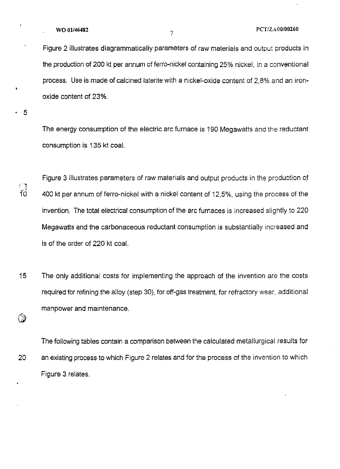. 5

 $\mathbf{r}$ 

.~.

ڞٙ

Figure 2 illustrates diagrammatically parameters of raw materials and output products in the production of 200 kt per annum of ferro-nickel containing 25% nickel, in a conventional process. Use is made of calcined laterite with a nickel-oxide content of 2,8% and an ironoxide content of 23%.

The energy consumption of the electric arc furnace is 190 Megawatts and the reductant consumption is 135 kt coal.

Figure 3 illustrates parameters of raw materials and output products in the production of 400 kt per annum of ferro-nickel with a nickel content of 12,5%, using the process of the invention. The total electrical consumption of the arc furnaces is increased slightly to 220 Megawatts and the carbonaceous reductant consumption is substantially increased and is of the order of 220 kt coal.

15 The only additional costs for implementing the approach of the invention are the costs required for refining the alloy (step 30), for off-gas treatment, for refractory wear, additional manpower and maintenance.

The following tables contain a comparison between the calculated metallurgical results for 20 an existing process to which Figure 2 relates and for the process of the invention to which Figure 3 relates.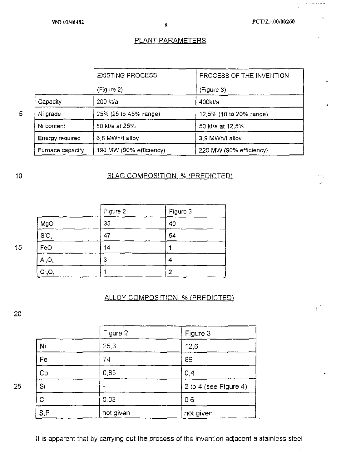$\mathcal{L}(\mathcal{C})$ 

 $\mathcal{L}^{\pm}$  as

ومعتدي ماجد والوارد

 $\mathcal{E}^{\mathcal{C}}$ 

#### PLANT PARAMETERS

|                        | <b>EXISTING PROCESS</b> | PROCESS OF THE INVENTION |
|------------------------|-------------------------|--------------------------|
|                        | (Figure 2)              | (Figure 3)               |
| Capacity               | 200 kt/a                | $400$ kt/a               |
| Ni grade               | 25% (25 to 45% range)   | 12,5% (10 to 20% range)  |
| Ni content             | 50 kt/a at 25%          | 50 kt/a at 12,5%         |
| <b>Energy required</b> | 6,8 MWh/t alloy         | 3,9 MWh/t alloy          |
| Furnace capacity       | 190 MW (90% efficiency) | 220 MW (90% efficiency)  |

10

5

#### SLAG COMPOSITION % (PREDICTED)

|                                | Figure 2 | Figure 3 |
|--------------------------------|----------|----------|
| MgO                            | 35       | 40       |
| SiO <sub>2</sub>               | 47       | 54       |
| FeO                            | 14       |          |
| AI <sub>2</sub> O <sub>3</sub> | 3        |          |
| Cr <sub>2</sub> O <sub>3</sub> |          | 2        |

#### ALLOY COMPOSITION % (PREDICTED)

20

25

15

|              | Figure 2  | Figure 3              |
|--------------|-----------|-----------------------|
| Ni           | 25.3      | 12,6                  |
| Fe           | 74        | 86                    |
| Co           | 0,85      | 0,4                   |
| Si           |           | 2 to 4 (see Figure 4) |
| $\mathsf{C}$ | 0,03      | 0.6                   |
| S, P         | not given | not given             |

It is apparent that by carrying out the process of the invention adjacent a stainless steel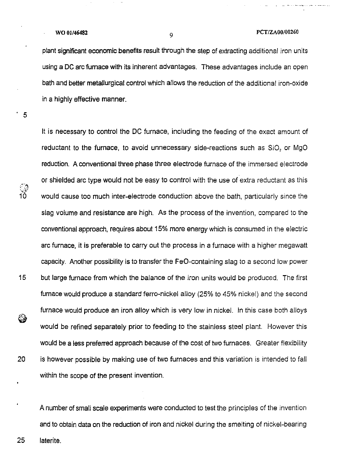# **WO 01/46482**  $\qquad \qquad \qquad 9$   $\qquad \qquad 9$  **PCT/ZA00/00260**

plant significant economic benefits result through the step of extracting additional iron units using a DC arc furnace with its inherent advantages. These advantages include an open bath and better metallurgical control which allows the reduction of the additional iron-oxide in a highly effective manner.

. 5

ු<br>10

0

It is necessary to control the DC furnace, including the feeding of the exact amount of reductant to the furnace, to avoid unnecessary side-reactions such as 5iO, or MgO reduction. A conventional three phase three electrode furnace of the immersed electrode or shielded arc type would not be easy to control with the use of extra reductant as this would cause too much inter-electrode conduction above the bath, particularly since the slag volume and resistance are high. As the process of the invention, compared to the conventional approach, requires about 15% more energy which is consumed in the electric arc furnace, it is preferable to carry out the process in a furnace with a higher megawatt capacity. Another possibility is to transfer the FeO-containing slag to a second low power 15 but large furnace from which the balance of the iron units would be produced. The first furnace would produce a standard ferro-nickel alloy (25% to 45% nickel) and the second furnace would produce an iron alloy which is very low in nickel. In this case both alloys would be refined separately prior to feeding to the stainless steel plant. However this would be a less preferred approach because of the cost of two furnaces. Greater flexibility 20 is however possible by making use of two furnaces and this variation is intended to fall within the scope of the present invention.

A number of small scale experiments were conducted to test the principles of the invention and to obtain data on the reduction of iron and nickel during the smelting of nickel-bearing

25 laterite.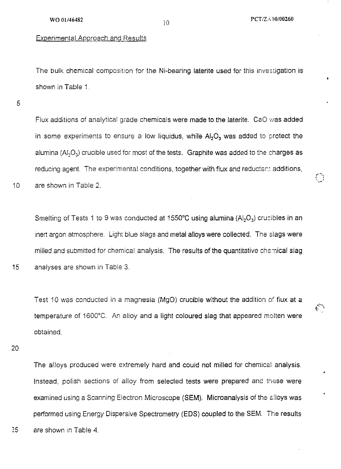$~^\circ$ 

 $\mathcal{C}_{\mathcal{A}}$ 

The bulk chemical composition for the Ni-bearing laterite used for this investigation is shown in Table 1.

5

10

Flux additions of analytical grade chemicals were made to the laterite. CaO was added in some experiments to ensure a low liquidus, while  $Al_2O_3$  was added to protect the alumina  $(AI_2O_3)$  crucible used for most of the tests. Graphite was added to the charges as reducing agent. The experimental conditions, together with flux and reductant additions, are shown in Table 2.

Smelting of Tests 1 to 9 was conducted at 1550°C using alumina  $(A<sub>1</sub>, O<sub>3</sub>)$  crucibles in an inert argon atmosphere. Light blue slags and metal alloys were collected. The slags were milled and submitted for chemical analysis. The results of the quantitative chemical slag 15 analyses are shown in Table 3.

Test 10 was conducted in a magnesia (MgO) crucible without the addition of flux at a temperature of 1600°C. An alloy and a light coloured slag that appeared molten were obtained.

20

The alloys produced were extremely hard and could not milled for chemical analysis. Instead, polish sections of alloy from selected tests were prepared and these were examined using a Scanning Electron Microscope (SEM). Microanalysis of the alloys was performed using Energy Dispersive Spectrometry (EDS) coupled to the SEM. The results 25 are shown in Table 4.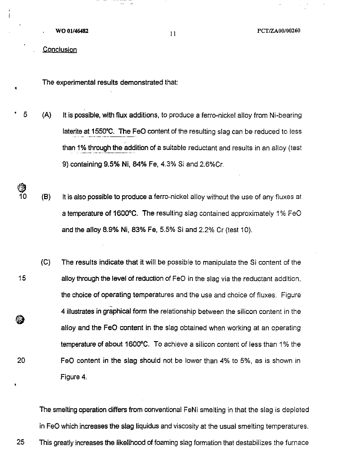WO 01/46482

11 PCT/ZA00/00260

**Conclusion** 

The experimental results demonstrated that:

eranggo<br>Ak

- $\overline{5}$  (A) It is possible, with flux additions, to produce a ferro-nickel alloy from Ni-bearing laterite at 1550·C. The FeD content of the resulting slag can be reduced to less than 1% through the addition of a suitable reductant and results in an alloy (test 9) containing 9.5% Ni, 84% Fe, 4.3% Si and 2.6%Cr.
- $10$  (B) It is also possible to produce a ferro-nickel alloy without the use of any fluxes at a temperature of 1600°C. The resulting slag contained approximately 1% FeO and the alloy 8.9% Ni, 83% Fe, 5.5% Si and 2.2% Cr (test 10).
- (C) The results indicate that it will be possible to manipulate the Si content of the 15 alloy through the level of reduction of FeO in the slag via the reductant addition, the choice of operating temperatures and the use and choice of fluxes. Figure 4 illustrates in graphical form the relationship between the silicon content in the ଛ alloy and the FeO content in the slag obtained when working at an operating temperature of about 1600·C. To achieve a silicon content of less than 1% the 20 FeD content in the slag should not be lower than 4% to 5%, as is shown in Figure 4.

The smelting operation differs from conventional FeNi smelting in that the slag is depleted in FeD which increases the slag Iiquidus and viscosity at the usual smelting temperatures. 25 This greatly increases the likelihood of foaming slag formation that destabilizes the furnace

@J

•

i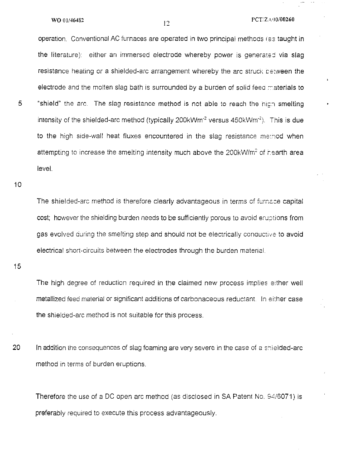operation. Conventional AC furnaces are operated in two principal methods (es taught in the literature): either an immersed electrode whereby power is generated via slag resistance heating or a shielded-arc arrangement whereby the arc struck between the electrode and the molten slag bath is surrounded by a burden of solid feed materials to 5 "shield" the arc. The slag resistance method is not able to reach the high smelting intensity of the shielded-arc method (typically 200kWm<sup>-2</sup> versus 450kWm<sup>-2</sup>). This is due to the high side-wall heat fluxes encountered in the slag resistance method when attempting to increase the smelting intensity much above the 200kW/m<sup>2</sup> of rearth area level.

10

The shielded-arc method is therefore clearly advantageous in terms cf furnace capital cost; however the shielding burden needs to be sufficiently porous to avoid eructions from gas evolved during the smelting step and should not be electrically conductive to avoid electrical short-circuits between the electrodes through the burden material.

15

The high degree of reduction required in the claimed new process implies either well metallized feed material or significant additions of carbonaceous reductant. In either case the shielded-arc method is not suitable for this process.

20 In addition the consequences of slag foaming are very severe in the case of a shielded-arc method in terms of burden eruptions.

Therefore the use of a DC open arc method (as disclosed in SA Patent No. 94/6071) is preferably required to execute this process advantageously.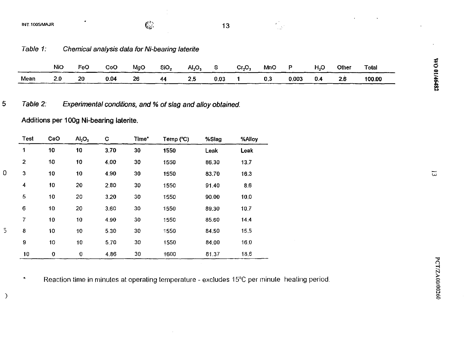INT.1005/MAJR

5

 $\overline{0}$ 

 $\overline{5}$ 

 $\big)$ 

 $13$ 

 $\frac{1}{\sqrt{2}}$ 

Table 1: Chemical analysis data for Ni-bearing laterite

|      | <b>NiO</b> | FeO | CoO  | MgO | SiO <sub>2</sub> | ALO, |      | Cr, O. | <b>MnC</b> | D     | H,C | Other | <b>Total</b> |
|------|------------|-----|------|-----|------------------|------|------|--------|------------|-------|-----|-------|--------------|
| Mean | 2.0        | 20  | 0.04 | 26  | 44               | Æ.,  | 0.03 |        | 0,3        | 0.003 | 0.4 | 2.6   | 100.00       |

Table 2: Experimental conditions, and % of slag and alloy obtained.

Additions per 100g Ni-bearing laterite.

| Test                    | CaO      | AI <sub>2</sub> O <sub>3</sub> | C    | Time* | Temp (°C) | %Slag | %Alloy |
|-------------------------|----------|--------------------------------|------|-------|-----------|-------|--------|
| 1                       | 10       | 10                             | 3.70 | 30    | 1550      | Leak  | Leak   |
| 2                       | 10       | 10                             | 4.00 | 30    | 1550      | 86.30 | 13.7   |
| $\mathbf 3$             | 10       | 10                             | 4,90 | 30    | 1550      | 83.70 | 16.3   |
| $\overline{\mathbf{4}}$ | 10       | 20                             | 2,80 | 30    | 1550      | 91.40 | 8.6    |
| 5                       | 10       | 20                             | 3.20 | 30    | 1550      | 90.00 | 10.0   |
| $\epsilon$              | 10       | 20                             | 3.60 | 30    | 1550      | 89.30 | 10.7   |
| 7                       | 10       | 10                             | 4.90 | 30    | 1550      | 85.60 | 14.4   |
| 8                       | 10       | 10                             | 5.30 | 30    | 1550      | 84,50 | 15.5   |
| 9                       | 10       | 10                             | 5.70 | 30    | 1550      | 84.00 | 16.0   |
| 10                      | $\bf{0}$ | $\bf{0}$                       | 4.86 | 30    | 1600      | 81.37 | 18.6   |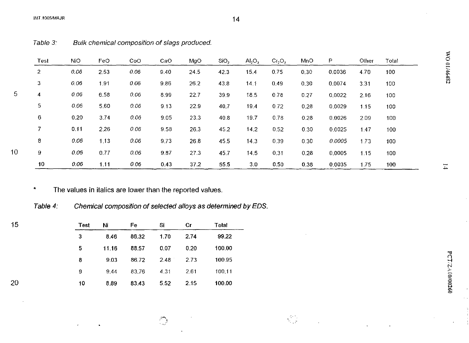#### INT.1005/MAJR  $14$

|                | Test           | <b>NiO</b> | FeO  | CoO  | CaO  | MgO  | SiO <sub>2</sub> | Al <sub>2</sub> O <sub>3</sub> | Cr <sub>2</sub> O <sub>3</sub> | MnO  | P      | Other | Total | $\delta$ |
|----------------|----------------|------------|------|------|------|------|------------------|--------------------------------|--------------------------------|------|--------|-------|-------|----------|
|                | $\overline{c}$ | 0.06       | 2.53 | 0.06 | 9.40 | 24.5 | 42.3             | 15.4                           | 0.75                           | 0.30 | 0.0036 | 4.70  | 100   | 01/46482 |
|                | 3              | 0.06       | 191  | 0.06 | 9.86 | 26.2 | 43.8             | 14.1                           | 0.49                           | 0.30 | 0.0074 | 3.31  | 100   |          |
| $\overline{5}$ | 4              | 0.06       | 6.58 | 0.06 | 8.99 | 22.7 | 39.9             | 18.5                           | 0.78                           | 0.27 | 0.0022 | 2.16  | 100   |          |
|                | 5              | 0.06       | 5.60 | 0.06 | 9.13 | 22.9 | 40.7             | 19.4                           | 0.72                           | 0.28 | 0.0029 | 1.15  | 100   |          |
|                | 6              | 0.20       | 3.74 | 0.06 | 9.05 | 23.3 | 40.8             | 19.7                           | 0.78                           | 0.28 | 0.0026 | 2.09  | 100   |          |
|                | $\overline{7}$ | 0.11       | 2.26 | 0.06 | 9.58 | 26.3 | 45.2             | 14.2                           | 0.52                           | 0.30 | 0.0025 | 1.47  | 100   |          |
|                | 8              | 0.06       | 1.13 | 0.06 | 9.73 | 26.8 | 45.5             | 14.3                           | 0.39                           | 0.30 | 0.0005 | 1.73  | 100   |          |
| 10             | 9              | 0.06       | 0.77 | 0,06 | 9.87 | 27.3 | 45.7             | 14.5                           | 0.31                           | 0.28 | 0.0005 | 1.15  | 100   |          |
|                | 10             | 0.06       | 1.11 | 0.06 | 0.43 | 37.2 | 55.5             | 3.0                            | 0.50                           | 0.38 | 0.0035 | 1.75  | 100   | $\pm$    |

:,~~ "

Table 3: Bulk chemical composition of slags produced.

\* The values in italics are lower than the reported values.

Table 4: Chemical composition of selected alloys as determined by EDS.

| 15 | <b>Test</b> | Ni    | Fe    | -Si  | .Cr  | Total  |
|----|-------------|-------|-------|------|------|--------|
|    | 3.          | 8.46  | 86.32 | 1.70 | 2.74 | 99.22  |
|    | 5.          | 11.16 | 88.57 | 0.07 | 0.20 | 100.00 |
|    | 8.          | 9.03  | 86.72 | 248  | 2.73 | 100.95 |
|    | 9.          | 9.44  | 83.76 | 4.31 | 2.61 | 100.11 |
| 20 | 10          | 8.89  | 83.43 | 5.52 | 2.15 | 100.00 |

00/00260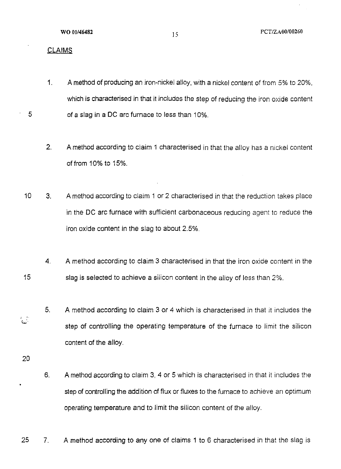#### CLAIMS

5

- 1. A method of producing an iron-nickel alloy, with a nickel content of from 5% to 20%, which is characterised in that it includes the step of reducing the iron oxide content of a slag in a DC arc furnace to less than 10%.
- 2. A method according to claim 1 characterised in that the alloy has a nickel content offrom 10% to 15%.
- 10 3. A method according to claim 1 or 2 characterised in that the reduction takes place in the DC arc furnace with sufficient carbonaceous reducing agent to reduce the iron oxide content in the slag to about 2.5%.
- 15 4. A method according to claim 3 characterised in that the iron oxide content in the slag is selected to achieve a silicon content in the alloy of less than 2%.
	- 5. A method according to claim 3 or 4 which is characterised in that it includes the step of controlling the operating temperature of the furnace to limit the silicon content of the alloy.
- 20

 $\mathbb{C}^2$ 

- 6. A method according to claim 3, 4 or 5 which is characterised in that it includes the step of controlling the addition of flux or fluxes to the furnace to achieve an optimum operating temperature and to limit the silicon content of the alloy.
- 25 7. A method according to any one of claims 1 to 6 characterised in that the slag is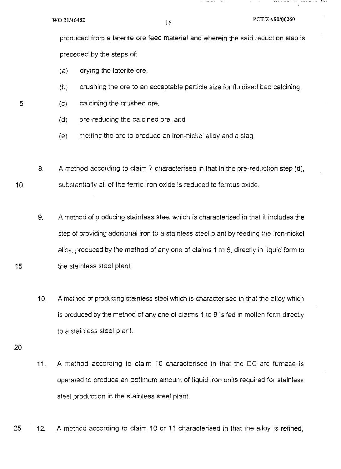$\sim$  -  $\sim$  -  $\sim$ 

produced from a laterite ore feed material and wherein the said reduction step is preceded by the steps of:

 $\sim$   $\sim$ 

- (a) drying the laterite ore,
- (b) crushing the ore to an acceptable particle size for fluidised bed calcining,
- (c) calcining the crushed ore,
	- (d) pre-reducing the calcined ore, and
	- (e) melting the ore to produce an iron-nickel alloy and a slag.
- 8. A method according to claim 7 characterised in that in the pre-recuction step (d), substantially all of the ferric iron oxide is reduced to ferrous oxide.
	- 9. A method of producing stainless steel which is characterised in that it includes the step of providing additional iron to a stainless steel plant by feeding the iron-nickel alloy, produced by the method of any one of claims 1 to 6, directly in liquid form to the stainless steel plant.
	- 10. A method of producing stainless steel which is characterised in that the alloy which is produced by the method of anyone of claims 1 to 8 is fed in molten form directly to a stainless steel plant.
- 20
- 11. A method according to claim 10 characterised in that the DC arc furnace is operated to produce an optimum amount of liquid iron units required for stainless steel production in the stainless steel plant.
- 25 12. A method according to claim 10 or 11 characterised in that the alloy is refined,

5

10

15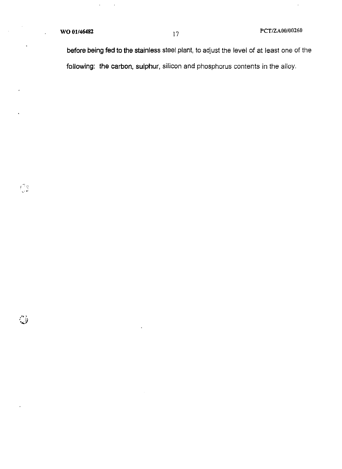J.

 $\ddot{\phantom{a}}$ 

 $\hat{\mathcal{A}}$ 

 $\int_{-\infty}^{\infty} \frac{d\phi}{dt}$ 

 $\mathring{\mathcal{J}}$ 

l,

before being fed to the stainless steel plant, to adjust the level of at least one of the following: the carbon, sulphur, silicon and phosphorus contents in the alloy.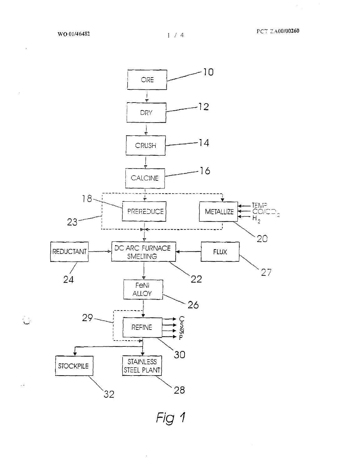ال<br>أسا

 $\hat{\mathcal{E}}$ 



Fig 1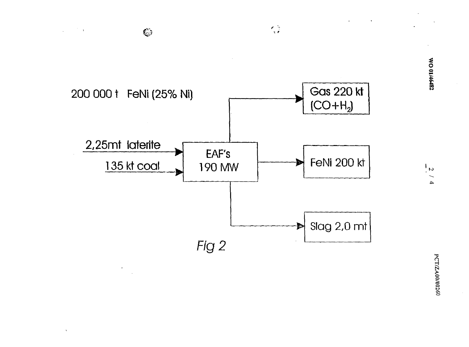

 $\chi$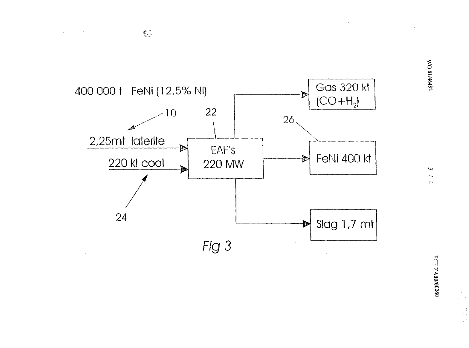

 $\mathbb{C}^{\mathbb{N}}$ 

 $\sim 10^{11}$  km

 $\sim$ 

WO 01/46482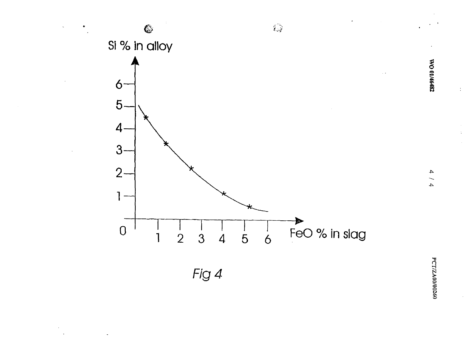

 $\pm$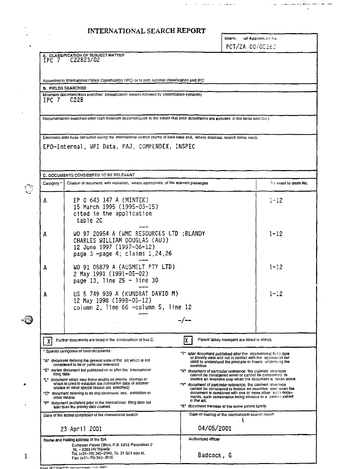# INTERNATIONAL SEARCH REPORT

t,

ä,

 $\frac{1}{2}$  .

| Intern. | tal Application No. |
|---------|---------------------|
|         | PCT/ZA 00/00260     |

جديثيثي المارا

لمقابضا والتباي

 $\sim 10$ 

المراجع فوسود كالمراجع والمتمرد والمراجع

|   | IPC 7            | A. CLASSIFICATION OF SUBJECT MATTER<br>C22B23/02                                                                                                                                                                                                                                                                                                                                                               |                                                                                                                                                                                                                                                                                                                                                                                                                                                                  |                       |
|---|------------------|----------------------------------------------------------------------------------------------------------------------------------------------------------------------------------------------------------------------------------------------------------------------------------------------------------------------------------------------------------------------------------------------------------------|------------------------------------------------------------------------------------------------------------------------------------------------------------------------------------------------------------------------------------------------------------------------------------------------------------------------------------------------------------------------------------------------------------------------------------------------------------------|-----------------------|
|   |                  |                                                                                                                                                                                                                                                                                                                                                                                                                |                                                                                                                                                                                                                                                                                                                                                                                                                                                                  |                       |
|   |                  | According to International Patent Classification (IPC) or to both national classification and IPC                                                                                                                                                                                                                                                                                                              |                                                                                                                                                                                                                                                                                                                                                                                                                                                                  |                       |
|   |                  | <b>B. FIELDS SEARCHED</b>                                                                                                                                                                                                                                                                                                                                                                                      |                                                                                                                                                                                                                                                                                                                                                                                                                                                                  |                       |
|   | IPC 7            | Minimum documentation searched (classification system followed by classification symbols)<br>C22B                                                                                                                                                                                                                                                                                                              |                                                                                                                                                                                                                                                                                                                                                                                                                                                                  |                       |
|   |                  | Documentation searched other than minimum gocumentation to the extent that such documents are included in the fields searched                                                                                                                                                                                                                                                                                  |                                                                                                                                                                                                                                                                                                                                                                                                                                                                  |                       |
|   |                  | Electronic data base consulted during the international search (name of data base and, where practical, search terms used)                                                                                                                                                                                                                                                                                     |                                                                                                                                                                                                                                                                                                                                                                                                                                                                  |                       |
|   |                  | EPO-Internal, WPI Data, PAJ, COMPENDEX, INSPEC                                                                                                                                                                                                                                                                                                                                                                 |                                                                                                                                                                                                                                                                                                                                                                                                                                                                  |                       |
|   |                  | C. DOCUMENTS CONSIDERED TO BE RELEVANT                                                                                                                                                                                                                                                                                                                                                                         |                                                                                                                                                                                                                                                                                                                                                                                                                                                                  |                       |
|   | Category *       | Citation of document, with indication, where appropriate, of the relevant passages                                                                                                                                                                                                                                                                                                                             |                                                                                                                                                                                                                                                                                                                                                                                                                                                                  | Felevant to claim No. |
|   | A                | EP 0 643 147 A (MINTEK)<br>15 March 1995 (1995-03-15)<br>cited in the application<br>table 2C                                                                                                                                                                                                                                                                                                                  |                                                                                                                                                                                                                                                                                                                                                                                                                                                                  | $1 - 12$              |
|   | A                | WO 97 20954 A (WMC RESOURCES LTD ; BLANDY<br>CHARLES WILLIAM DOUGLAS (AU))<br>12 June 1997 (1997-06-12)<br>page 3 -page 4; claims 1,24,26                                                                                                                                                                                                                                                                      |                                                                                                                                                                                                                                                                                                                                                                                                                                                                  | $1 - 12$              |
|   | A                | WO 91 05879 A (AUSMELT PTY LTD)<br>2 May 1991 (1991-05-02)<br>page 13, line $25 -$ line 30                                                                                                                                                                                                                                                                                                                     |                                                                                                                                                                                                                                                                                                                                                                                                                                                                  | $1 - 12$              |
|   | Α                | US 5 749 939 A (KUNDRAT DAVID M)<br>12 May 1998 (1998-05-12)<br>column 2, line 66 -column 5, line 12                                                                                                                                                                                                                                                                                                           |                                                                                                                                                                                                                                                                                                                                                                                                                                                                  | $1 - 12$              |
|   |                  |                                                                                                                                                                                                                                                                                                                                                                                                                | -/--                                                                                                                                                                                                                                                                                                                                                                                                                                                             |                       |
|   | $\boldsymbol{X}$ | Further documents are listed in the continuation of box C.                                                                                                                                                                                                                                                                                                                                                     | IΧ⊦<br>Patent family members are listed in annex.                                                                                                                                                                                                                                                                                                                                                                                                                |                       |
|   | filmo date       | ° Special categories of cited documents :<br>*A* document defining the general state of the art which is not<br>considered to be of particular relevance<br>"E" earlier document but published on or after the international<br>"L" document which may throw doubts on priority claim (s) or<br>which is cited to establish the publication date of another<br>citation or other special reason (as specified) | "T" later document published after the international final date<br>or priority date and not in conflict with the application but<br>cited to understand the principle or theory underlying the<br>invention<br>"X" document of particular relevance; the claimed invention<br>cannot be considered novel or cannot be considered to<br>involve an inventive step when the document is taken alone<br>"Y" document of particular relevance; the claimed invention |                       |
|   |                  | *O* document referring to an oral disclosure, use, exhibition or<br>other means<br>"P* document published prior to the international filing date but<br>later than the priority date claimed                                                                                                                                                                                                                   | cannot be considered to involve an inventive step when the<br>document is combined with one or more other such docu-<br>ments, such compination being obvious to a person skilled<br>in the art.<br>'&' document member of the same patent family                                                                                                                                                                                                                |                       |
|   |                  | Date of the actual completion of the international search                                                                                                                                                                                                                                                                                                                                                      | Date of mailing of the international search report                                                                                                                                                                                                                                                                                                                                                                                                               |                       |
|   |                  | 23 April 2001                                                                                                                                                                                                                                                                                                                                                                                                  | 04/05/2001                                                                                                                                                                                                                                                                                                                                                                                                                                                       |                       |
| 1 |                  | Name and mailing address of the ISA<br>European Patent Office, P.B. 5818 Patentiaan 2<br>NL - 2280 HV Rijswijk<br>Tel. (+31–70) 340–2040, Tx. 31 651 epo nl.                                                                                                                                                                                                                                                   | Authorized officer<br>Badcock, G                                                                                                                                                                                                                                                                                                                                                                                                                                 |                       |
|   |                  | Fax: (+31-70) 340-3016<br>Form OCT/ISA/210 Isecond cheat\ / hdu 1002\                                                                                                                                                                                                                                                                                                                                          |                                                                                                                                                                                                                                                                                                                                                                                                                                                                  |                       |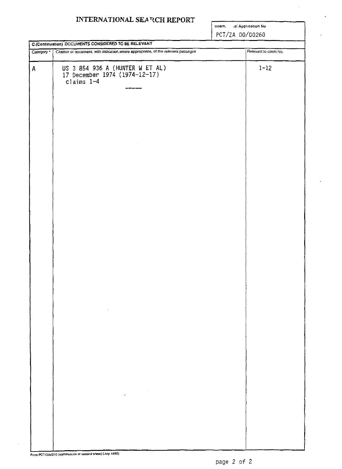### INTERNATIONAL SEARCH REPORT

Intern. al Application No.

PCT/ZA 00/00260

|            | <b>C.(Continuation) DOCUMENTS CONSIDERED TO BE RELEVANT</b>                                                                                                                                                                                                                                                                                                                                                                                            |                       |
|------------|--------------------------------------------------------------------------------------------------------------------------------------------------------------------------------------------------------------------------------------------------------------------------------------------------------------------------------------------------------------------------------------------------------------------------------------------------------|-----------------------|
| Category ° | Citation of oocument, with indication, where appropriate, of the refevant passages                                                                                                                                                                                                                                                                                                                                                                     | Relevant to claim No. |
| A          | US 3 854 936 A (HUNTER W ET AL)<br>17 December 1974 (1974-12-17)<br>$clains$ $1-4$                                                                                                                                                                                                                                                                                                                                                                     | $1 - 12$              |
|            | $\label{eq:2.1} \frac{1}{\sqrt{2}}\int_{\mathbb{R}^3}\frac{1}{\sqrt{2}}\left(\frac{1}{\sqrt{2}}\right)^2\left(\frac{1}{\sqrt{2}}\right)^2\left(\frac{1}{\sqrt{2}}\right)^2\left(\frac{1}{\sqrt{2}}\right)^2\left(\frac{1}{\sqrt{2}}\right)^2\left(\frac{1}{\sqrt{2}}\right)^2.$<br>$\mathcal{L}(\mathcal{L}^{\mathcal{L}})$ and $\mathcal{L}(\mathcal{L}^{\mathcal{L}})$ and $\mathcal{L}(\mathcal{L}^{\mathcal{L}})$                                  |                       |
|            | $\label{eq:2.1} \frac{1}{\sqrt{2}}\left(\frac{1}{\sqrt{2}}\right)^{2} \left(\frac{1}{\sqrt{2}}\right)^{2} \left(\frac{1}{\sqrt{2}}\right)^{2} \left(\frac{1}{\sqrt{2}}\right)^{2} \left(\frac{1}{\sqrt{2}}\right)^{2} \left(\frac{1}{\sqrt{2}}\right)^{2} \left(\frac{1}{\sqrt{2}}\right)^{2} \left(\frac{1}{\sqrt{2}}\right)^{2} \left(\frac{1}{\sqrt{2}}\right)^{2} \left(\frac{1}{\sqrt{2}}\right)^{2} \left(\frac{1}{\sqrt{2}}\right)^{2} \left(\$ |                       |